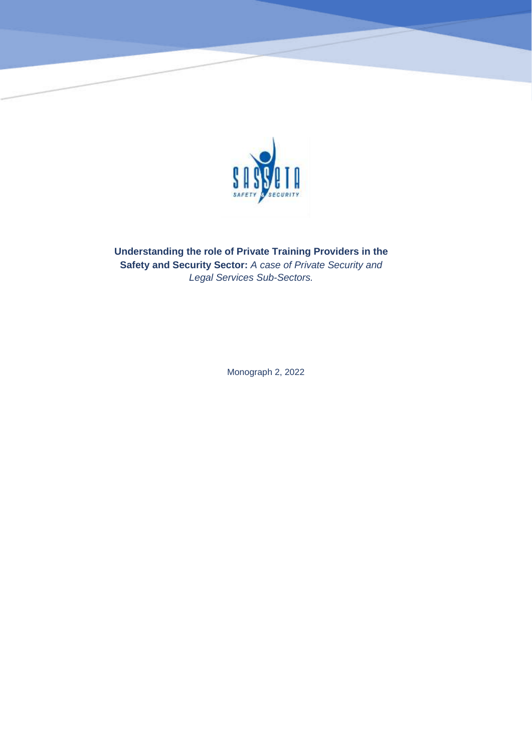

**Understanding the role of Private Training Providers in the Safety and Security Sector:** *A case of Private Security and Legal Services Sub-Sectors.*

Monograph 2, 2022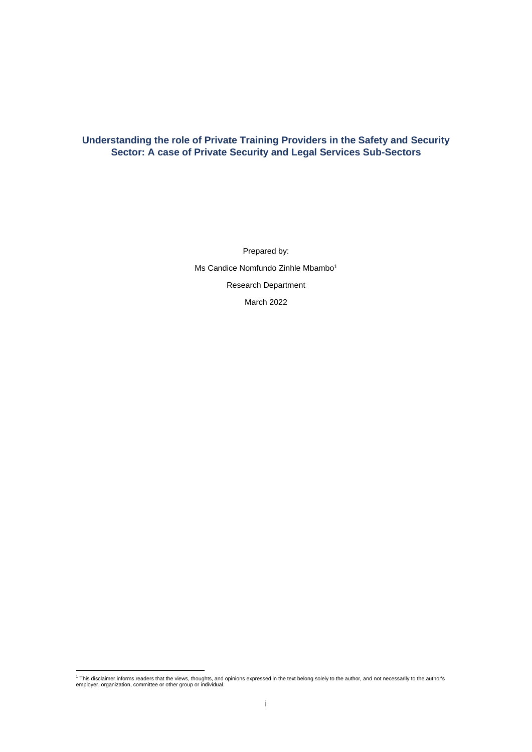# **Understanding the role of Private Training Providers in the Safety and Security Sector: A case of Private Security and Legal Services Sub-Sectors**

Prepared by: Ms Candice Nomfundo Zinhle Mbambo<sup>1</sup> Research Department March 2022

<sup>1</sup> This disclaimer informs readers that the views, thoughts, and opinions expressed in the text belong solely to the author, and not necessarily to the author's employer, organization, committee or other group or individual.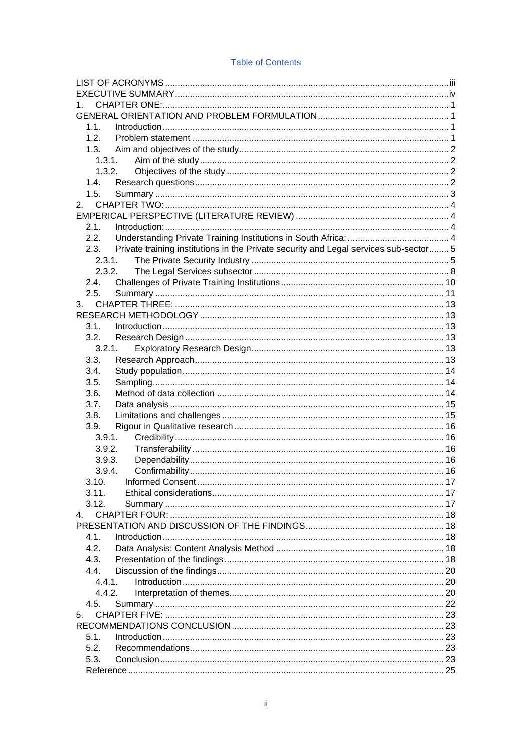| 1.                                                                                            |  |  |  |  |
|-----------------------------------------------------------------------------------------------|--|--|--|--|
|                                                                                               |  |  |  |  |
| 1.1.                                                                                          |  |  |  |  |
| 1.2.                                                                                          |  |  |  |  |
| 1.3.                                                                                          |  |  |  |  |
| 1.3.1.                                                                                        |  |  |  |  |
| 1.3.2.                                                                                        |  |  |  |  |
| 1.4.                                                                                          |  |  |  |  |
| 1.5.                                                                                          |  |  |  |  |
| 2.                                                                                            |  |  |  |  |
|                                                                                               |  |  |  |  |
| $2.1$ .                                                                                       |  |  |  |  |
| 2.2.                                                                                          |  |  |  |  |
| Private training institutions in the Private security and Legal services sub-sector 5<br>2.3. |  |  |  |  |
| 2.3.1                                                                                         |  |  |  |  |
| 2.3.2.                                                                                        |  |  |  |  |
| 2.4.                                                                                          |  |  |  |  |
| 2.5.                                                                                          |  |  |  |  |
| 3.                                                                                            |  |  |  |  |
|                                                                                               |  |  |  |  |
| 3.1.                                                                                          |  |  |  |  |
| 3.2.                                                                                          |  |  |  |  |
| 3.2.1.                                                                                        |  |  |  |  |
| 3.3.                                                                                          |  |  |  |  |
| 3.4.                                                                                          |  |  |  |  |
|                                                                                               |  |  |  |  |
| 3.5.                                                                                          |  |  |  |  |
| 3.6.                                                                                          |  |  |  |  |
| 3.7.                                                                                          |  |  |  |  |
| 3.8.                                                                                          |  |  |  |  |
| 3.9.                                                                                          |  |  |  |  |
| 3.9.1.                                                                                        |  |  |  |  |
| 3.9.2.                                                                                        |  |  |  |  |
| 3.9.3.                                                                                        |  |  |  |  |
| 3.9.4.                                                                                        |  |  |  |  |
| 3.10.                                                                                         |  |  |  |  |
| 3.11.                                                                                         |  |  |  |  |
| 3.12.                                                                                         |  |  |  |  |
| 4.                                                                                            |  |  |  |  |
|                                                                                               |  |  |  |  |
| 4.1.                                                                                          |  |  |  |  |
| 4.2.                                                                                          |  |  |  |  |
| 4.3.                                                                                          |  |  |  |  |
| 4.4.                                                                                          |  |  |  |  |
| 4.4.1.                                                                                        |  |  |  |  |
| 4.4.2.                                                                                        |  |  |  |  |
| 4.5.                                                                                          |  |  |  |  |
| 5.                                                                                            |  |  |  |  |
|                                                                                               |  |  |  |  |
| 5.1.                                                                                          |  |  |  |  |
| 5.2.                                                                                          |  |  |  |  |
| 5.3.                                                                                          |  |  |  |  |
|                                                                                               |  |  |  |  |

## **Table of Contents**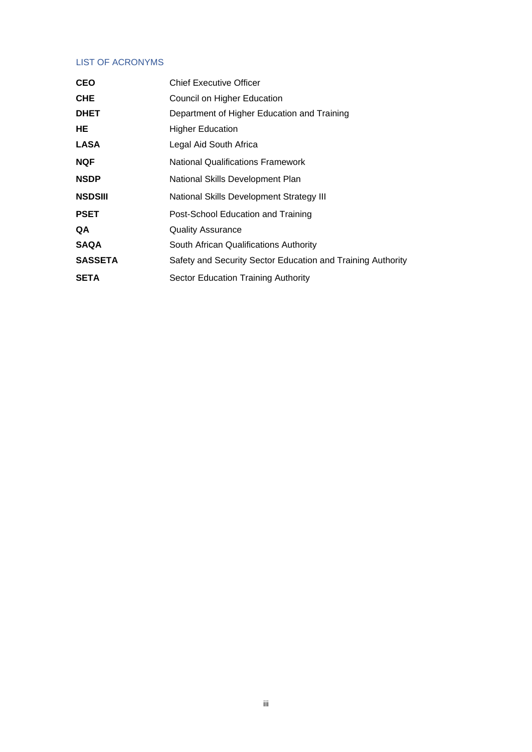# <span id="page-3-0"></span>LIST OF ACRONYMS

| <b>CEO</b>     | <b>Chief Executive Officer</b>                              |  |
|----------------|-------------------------------------------------------------|--|
| <b>CHE</b>     | Council on Higher Education                                 |  |
| <b>DHET</b>    | Department of Higher Education and Training                 |  |
| HE             | <b>Higher Education</b>                                     |  |
| LASA           | Legal Aid South Africa                                      |  |
| <b>NQF</b>     | <b>National Qualifications Framework</b>                    |  |
| <b>NSDP</b>    | National Skills Development Plan                            |  |
| <b>NSDSIII</b> | National Skills Development Strategy III                    |  |
| <b>PSET</b>    | Post-School Education and Training                          |  |
| QA             | <b>Quality Assurance</b>                                    |  |
| <b>SAQA</b>    | South African Qualifications Authority                      |  |
| <b>SASSETA</b> | Safety and Security Sector Education and Training Authority |  |
| <b>SETA</b>    | Sector Education Training Authority                         |  |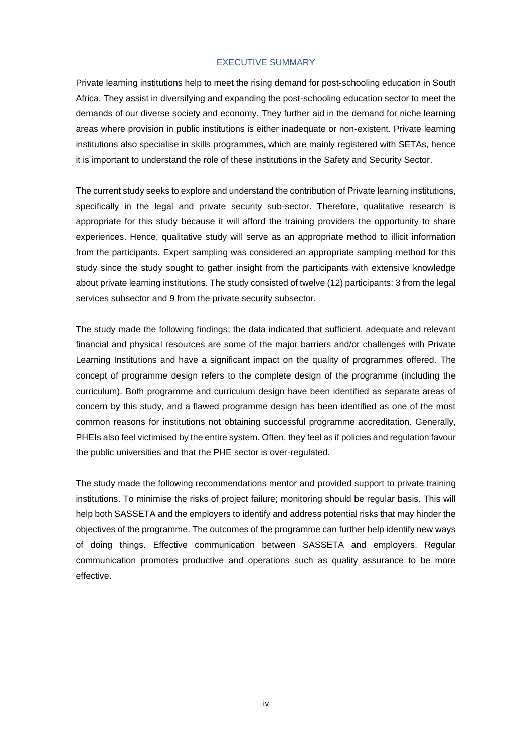### EXECUTIVE SUMMARY

<span id="page-4-0"></span>Private learning institutions help to meet the rising demand for post-schooling education in South Africa. They assist in diversifying and expanding the post-schooling education sector to meet the demands of our diverse society and economy. They further aid in the demand for niche learning areas where provision in public institutions is either inadequate or non-existent. Private learning institutions also specialise in skills programmes, which are mainly registered with SETAs, hence it is important to understand the role of these institutions in the Safety and Security Sector.

The current study seeks to explore and understand the contribution of Private learning institutions, specifically in the legal and private security sub-sector. Therefore, qualitative research is appropriate for this study because it will afford the training providers the opportunity to share experiences. Hence, qualitative study will serve as an appropriate method to illicit information from the participants. Expert sampling was considered an appropriate sampling method for this study since the study sought to gather insight from the participants with extensive knowledge about private learning institutions. The study consisted of twelve (12) participants: 3 from the legal services subsector and 9 from the private security subsector.

The study made the following findings; the data indicated that sufficient, adequate and relevant financial and physical resources are some of the major barriers and/or challenges with Private Learning Institutions and have a significant impact on the quality of programmes offered. The concept of programme design refers to the complete design of the programme (including the curriculum). Both programme and curriculum design have been identified as separate areas of concern by this study, and a flawed programme design has been identified as one of the most common reasons for institutions not obtaining successful programme accreditation. Generally, PHEIs also feel victimised by the entire system. Often, they feel as if policies and regulation favour the public universities and that the PHE sector is over-regulated.

The study made the following recommendations mentor and provided support to private training institutions. To minimise the risks of project failure; monitoring should be regular basis. This will help both SASSETA and the employers to identify and address potential risks that may hinder the objectives of the programme. The outcomes of the programme can further help identify new ways of doing things. Effective communication between SASSETA and employers. Regular communication promotes productive and operations such as quality assurance to be more effective.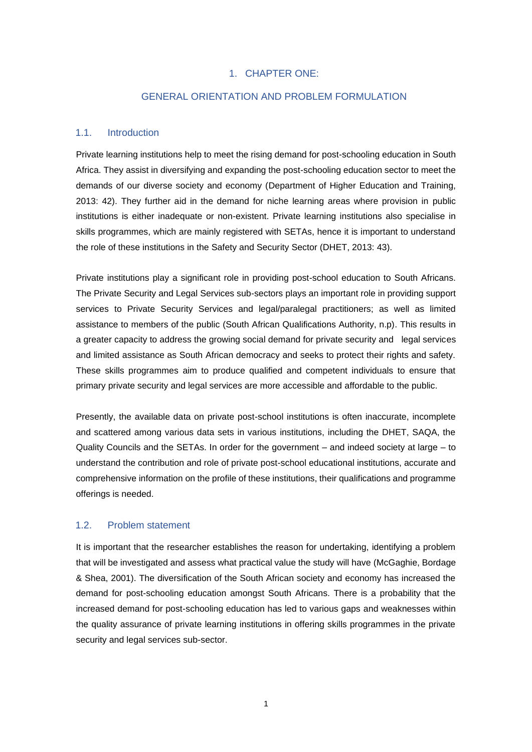## 1. CHAPTER ONE:

# GENERAL ORIENTATION AND PROBLEM FORMULATION

### <span id="page-5-2"></span><span id="page-5-1"></span><span id="page-5-0"></span>1.1. Introduction

Private learning institutions help to meet the rising demand for post-schooling education in South Africa. They assist in diversifying and expanding the post-schooling education sector to meet the demands of our diverse society and economy (Department of Higher Education and Training, 2013: 42). They further aid in the demand for niche learning areas where provision in public institutions is either inadequate or non-existent. Private learning institutions also specialise in skills programmes, which are mainly registered with SETAs, hence it is important to understand the role of these institutions in the Safety and Security Sector (DHET, 2013: 43).

Private institutions play a significant role in providing post-school education to South Africans. The Private Security and Legal Services sub-sectors plays an important role in providing support services to Private Security Services and legal/paralegal practitioners; as well as limited assistance to members of the public (South African Qualifications Authority, n.p). This results in a greater capacity to address the growing social demand for private security and legal services and limited assistance as South African democracy and seeks to protect their rights and safety. These skills programmes aim to produce qualified and competent individuals to ensure that primary private security and legal services are more accessible and affordable to the public.

Presently, the available data on private post-school institutions is often inaccurate, incomplete and scattered among various data sets in various institutions, including the DHET, SAQA, the Quality Councils and the SETAs. In order for the government – and indeed society at large – to understand the contribution and role of private post-school educational institutions, accurate and comprehensive information on the profile of these institutions, their qualifications and programme offerings is needed.

### <span id="page-5-3"></span>1.2. Problem statement

It is important that the researcher establishes the reason for undertaking, identifying a problem that will be investigated and assess what practical value the study will have (McGaghie, Bordage & Shea, 2001). The diversification of the South African society and economy has increased the demand for post-schooling education amongst South Africans. There is a probability that the increased demand for post-schooling education has led to various gaps and weaknesses within the quality assurance of private learning institutions in offering skills programmes in the private security and legal services sub-sector.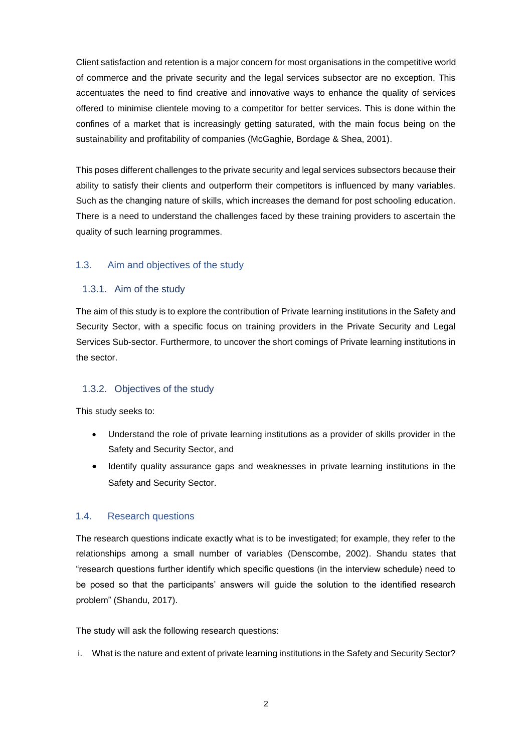Client satisfaction and retention is a major concern for most organisations in the competitive world of commerce and the private security and the legal services subsector are no exception. This accentuates the need to find creative and innovative ways to enhance the quality of services offered to minimise clientele moving to a competitor for better services. This is done within the confines of a market that is increasingly getting saturated, with the main focus being on the sustainability and profitability of companies (McGaghie, Bordage & Shea, 2001).

This poses different challenges to the private security and legal services subsectors because their ability to satisfy their clients and outperform their competitors is influenced by many variables. Such as the changing nature of skills, which increases the demand for post schooling education. There is a need to understand the challenges faced by these training providers to ascertain the quality of such learning programmes.

## <span id="page-6-0"></span>1.3. Aim and objectives of the study

# <span id="page-6-1"></span>1.3.1. Aim of the study

The aim of this study is to explore the contribution of Private learning institutions in the Safety and Security Sector, with a specific focus on training providers in the Private Security and Legal Services Sub-sector. Furthermore, to uncover the short comings of Private learning institutions in the sector.

## <span id="page-6-2"></span>1.3.2. Objectives of the study

This study seeks to:

- Understand the role of private learning institutions as a provider of skills provider in the Safety and Security Sector, and
- Identify quality assurance gaps and weaknesses in private learning institutions in the Safety and Security Sector.

# <span id="page-6-3"></span>1.4. Research questions

The research questions indicate exactly what is to be investigated; for example, they refer to the relationships among a small number of variables (Denscombe, 2002). Shandu states that "research questions further identify which specific questions (in the interview schedule) need to be posed so that the participants' answers will guide the solution to the identified research problem" (Shandu, 2017).

The study will ask the following research questions:

i. What is the nature and extent of private learning institutions in the Safety and Security Sector?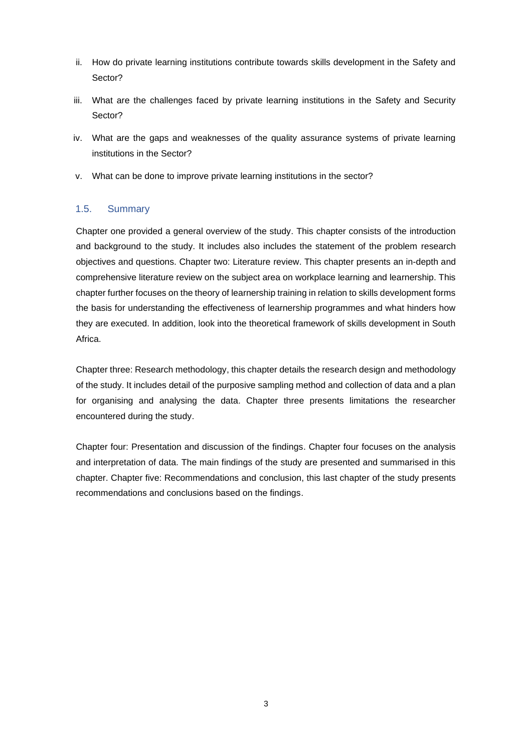- ii. How do private learning institutions contribute towards skills development in the Safety and Sector?
- iii. What are the challenges faced by private learning institutions in the Safety and Security Sector?
- iv. What are the gaps and weaknesses of the quality assurance systems of private learning institutions in the Sector?
- v. What can be done to improve private learning institutions in the sector?

## <span id="page-7-0"></span>1.5. Summary

Chapter one provided a general overview of the study. This chapter consists of the introduction and background to the study. It includes also includes the statement of the problem research objectives and questions. Chapter two: Literature review. This chapter presents an in-depth and comprehensive literature review on the subject area on workplace learning and learnership. This chapter further focuses on the theory of learnership training in relation to skills development forms the basis for understanding the effectiveness of learnership programmes and what hinders how they are executed. In addition, look into the theoretical framework of skills development in South Africa.

Chapter three: Research methodology, this chapter details the research design and methodology of the study. It includes detail of the purposive sampling method and collection of data and a plan for organising and analysing the data. Chapter three presents limitations the researcher encountered during the study.

Chapter four: Presentation and discussion of the findings. Chapter four focuses on the analysis and interpretation of data. The main findings of the study are presented and summarised in this chapter. Chapter five: Recommendations and conclusion, this last chapter of the study presents recommendations and conclusions based on the findings.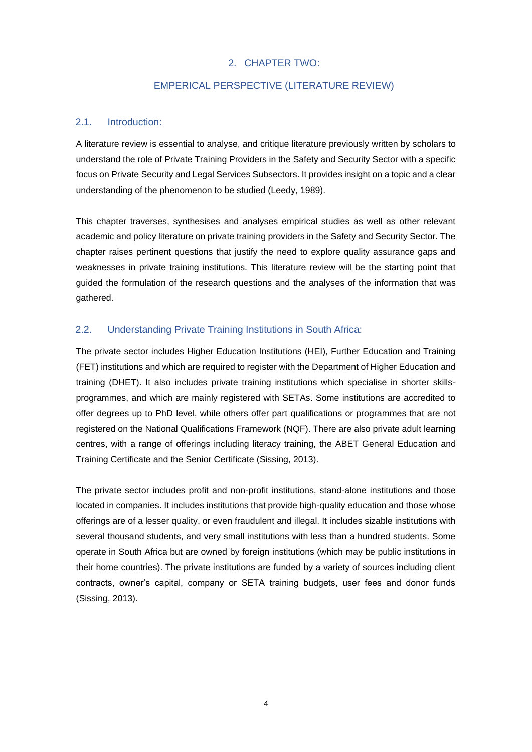# 2. CHAPTER TWO:

# EMPERICAL PERSPECTIVE (LITERATURE REVIEW)

# <span id="page-8-2"></span><span id="page-8-1"></span><span id="page-8-0"></span>2.1. Introduction:

A literature review is essential to analyse, and critique literature previously written by scholars to understand the role of Private Training Providers in the Safety and Security Sector with a specific focus on Private Security and Legal Services Subsectors. It provides insight on a topic and a clear understanding of the phenomenon to be studied (Leedy, 1989).

This chapter traverses, synthesises and analyses empirical studies as well as other relevant academic and policy literature on private training providers in the Safety and Security Sector. The chapter raises pertinent questions that justify the need to explore quality assurance gaps and weaknesses in private training institutions. This literature review will be the starting point that guided the formulation of the research questions and the analyses of the information that was gathered.

# <span id="page-8-3"></span>2.2. Understanding Private Training Institutions in South Africa:

The private sector includes Higher Education Institutions (HEI), Further Education and Training (FET) institutions and which are required to register with the Department of Higher Education and training (DHET). It also includes private training institutions which specialise in shorter skillsprogrammes, and which are mainly registered with SETAs. Some institutions are accredited to offer degrees up to PhD level, while others offer part qualifications or programmes that are not registered on the National Qualifications Framework (NQF). There are also private adult learning centres, with a range of offerings including literacy training, the ABET General Education and Training Certificate and the Senior Certificate (Sissing, 2013).

The private sector includes profit and non-profit institutions, stand-alone institutions and those located in companies. It includes institutions that provide high-quality education and those whose offerings are of a lesser quality, or even fraudulent and illegal. It includes sizable institutions with several thousand students, and very small institutions with less than a hundred students. Some operate in South Africa but are owned by foreign institutions (which may be public institutions in their home countries). The private institutions are funded by a variety of sources including client contracts, owner's capital, company or SETA training budgets, user fees and donor funds (Sissing, 2013).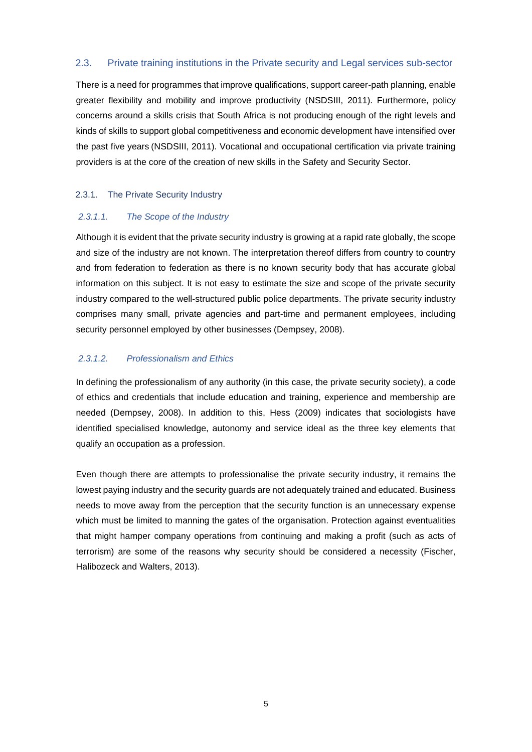# <span id="page-9-0"></span>2.3. Private training institutions in the Private security and Legal services sub-sector

There is a need for programmes that improve qualifications, support career-path planning, enable greater flexibility and mobility and improve productivity (NSDSIII, 2011). Furthermore, policy concerns around a skills crisis that South Africa is not producing enough of the right levels and kinds of skills to support global competitiveness and economic development have intensified over the past five years (NSDSIII, 2011). Vocational and occupational certification via private training providers is at the core of the creation of new skills in the Safety and Security Sector.

## <span id="page-9-1"></span>2.3.1. The Private Security Industry

## *2.3.1.1. The Scope of the Industry*

Although it is evident that the private security industry is growing at a rapid rate globally, the scope and size of the industry are not known. The interpretation thereof differs from country to country and from federation to federation as there is no known security body that has accurate global information on this subject. It is not easy to estimate the size and scope of the private security industry compared to the well-structured public police departments. The private security industry comprises many small, private agencies and part-time and permanent employees, including security personnel employed by other businesses (Dempsey, 2008).

## *2.3.1.2. Professionalism and Ethics*

In defining the professionalism of any authority (in this case, the private security society), a code of ethics and credentials that include education and training, experience and membership are needed (Dempsey, 2008). In addition to this, Hess (2009) indicates that sociologists have identified specialised knowledge, autonomy and service ideal as the three key elements that qualify an occupation as a profession.

Even though there are attempts to professionalise the private security industry, it remains the lowest paying industry and the security guards are not adequately trained and educated. Business needs to move away from the perception that the security function is an unnecessary expense which must be limited to manning the gates of the organisation. Protection against eventualities that might hamper company operations from continuing and making a profit (such as acts of terrorism) are some of the reasons why security should be considered a necessity (Fischer, Halibozeck and Walters, 2013).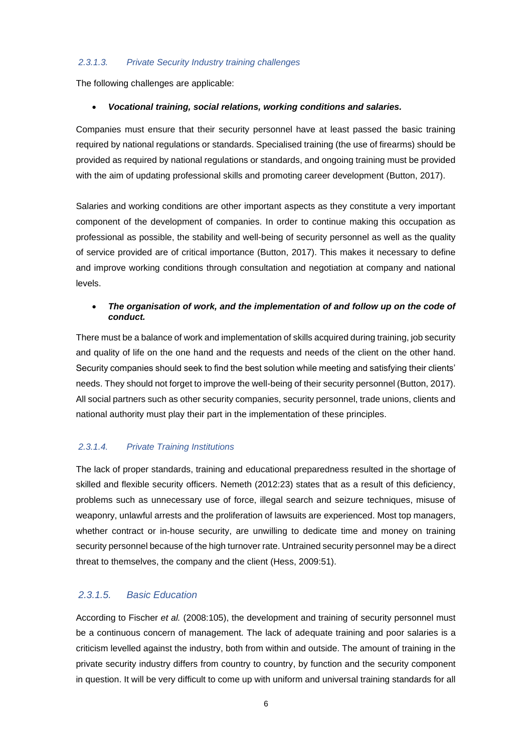### *2.3.1.3. Private Security Industry training challenges*

The following challenges are applicable:

### • *Vocational training, social relations, working conditions and salaries.*

Companies must ensure that their security personnel have at least passed the basic training required by national regulations or standards. Specialised training (the use of firearms) should be provided as required by national regulations or standards, and ongoing training must be provided with the aim of updating professional skills and promoting career development (Button, 2017).

Salaries and working conditions are other important aspects as they constitute a very important component of the development of companies. In order to continue making this occupation as professional as possible, the stability and well-being of security personnel as well as the quality of service provided are of critical importance (Button, 2017). This makes it necessary to define and improve working conditions through consultation and negotiation at company and national levels.

# • *The organisation of work, and the implementation of and follow up on the code of conduct.*

There must be a balance of work and implementation of skills acquired during training, job security and quality of life on the one hand and the requests and needs of the client on the other hand. Security companies should seek to find the best solution while meeting and satisfying their clients' needs. They should not forget to improve the well-being of their security personnel (Button, 2017). All social partners such as other security companies, security personnel, trade unions, clients and national authority must play their part in the implementation of these principles.

# *2.3.1.4. Private Training Institutions*

The lack of proper standards, training and educational preparedness resulted in the shortage of skilled and flexible security officers. Nemeth (2012:23) states that as a result of this deficiency, problems such as unnecessary use of force, illegal search and seizure techniques, misuse of weaponry, unlawful arrests and the proliferation of lawsuits are experienced. Most top managers, whether contract or in-house security, are unwilling to dedicate time and money on training security personnel because of the high turnover rate. Untrained security personnel may be a direct threat to themselves, the company and the client (Hess, 2009:51).

# *2.3.1.5. Basic Education*

According to Fischer *et al.* (2008:105), the development and training of security personnel must be a continuous concern of management. The lack of adequate training and poor salaries is a criticism levelled against the industry, both from within and outside. The amount of training in the private security industry differs from country to country, by function and the security component in question. It will be very difficult to come up with uniform and universal training standards for all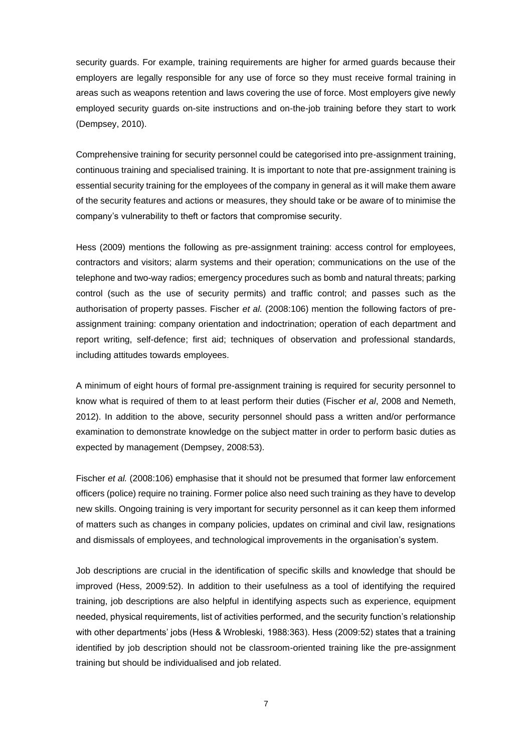security guards. For example, training requirements are higher for armed guards because their employers are legally responsible for any use of force so they must receive formal training in areas such as weapons retention and laws covering the use of force. Most employers give newly employed security guards on-site instructions and on-the-job training before they start to work (Dempsey, 2010).

Comprehensive training for security personnel could be categorised into pre-assignment training, continuous training and specialised training. It is important to note that pre-assignment training is essential security training for the employees of the company in general as it will make them aware of the security features and actions or measures, they should take or be aware of to minimise the company's vulnerability to theft or factors that compromise security.

Hess (2009) mentions the following as pre-assignment training: access control for employees, contractors and visitors; alarm systems and their operation; communications on the use of the telephone and two-way radios; emergency procedures such as bomb and natural threats; parking control (such as the use of security permits) and traffic control; and passes such as the authorisation of property passes. Fischer *et al.* (2008:106) mention the following factors of preassignment training: company orientation and indoctrination; operation of each department and report writing, self-defence; first aid; techniques of observation and professional standards, including attitudes towards employees.

A minimum of eight hours of formal pre-assignment training is required for security personnel to know what is required of them to at least perform their duties (Fischer *et al*, 2008 and Nemeth, 2012). In addition to the above, security personnel should pass a written and/or performance examination to demonstrate knowledge on the subject matter in order to perform basic duties as expected by management (Dempsey, 2008:53).

Fischer *et al.* (2008:106) emphasise that it should not be presumed that former law enforcement officers (police) require no training. Former police also need such training as they have to develop new skills. Ongoing training is very important for security personnel as it can keep them informed of matters such as changes in company policies, updates on criminal and civil law, resignations and dismissals of employees, and technological improvements in the organisation's system.

Job descriptions are crucial in the identification of specific skills and knowledge that should be improved (Hess, 2009:52). In addition to their usefulness as a tool of identifying the required training, job descriptions are also helpful in identifying aspects such as experience, equipment needed, physical requirements, list of activities performed, and the security function's relationship with other departments' jobs (Hess & Wrobleski, 1988:363). Hess (2009:52) states that a training identified by job description should not be classroom-oriented training like the pre-assignment training but should be individualised and job related.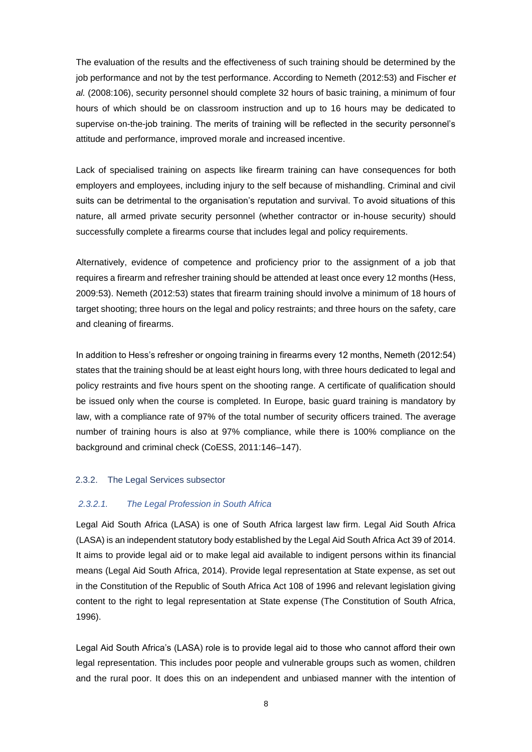The evaluation of the results and the effectiveness of such training should be determined by the job performance and not by the test performance. According to Nemeth (2012:53) and Fischer *et al.* (2008:106), security personnel should complete 32 hours of basic training, a minimum of four hours of which should be on classroom instruction and up to 16 hours may be dedicated to supervise on-the-job training. The merits of training will be reflected in the security personnel's attitude and performance, improved morale and increased incentive.

Lack of specialised training on aspects like firearm training can have consequences for both employers and employees, including injury to the self because of mishandling. Criminal and civil suits can be detrimental to the organisation's reputation and survival. To avoid situations of this nature, all armed private security personnel (whether contractor or in-house security) should successfully complete a firearms course that includes legal and policy requirements.

Alternatively, evidence of competence and proficiency prior to the assignment of a job that requires a firearm and refresher training should be attended at least once every 12 months (Hess, 2009:53). Nemeth (2012:53) states that firearm training should involve a minimum of 18 hours of target shooting; three hours on the legal and policy restraints; and three hours on the safety, care and cleaning of firearms.

In addition to Hess's refresher or ongoing training in firearms every 12 months, Nemeth (2012:54) states that the training should be at least eight hours long, with three hours dedicated to legal and policy restraints and five hours spent on the shooting range. A certificate of qualification should be issued only when the course is completed. In Europe, basic guard training is mandatory by law, with a compliance rate of 97% of the total number of security officers trained. The average number of training hours is also at 97% compliance, while there is 100% compliance on the background and criminal check (CoESS, 2011:146–147).

### <span id="page-12-0"></span>2.3.2. The Legal Services subsector

### *2.3.2.1. The Legal Profession in South Africa*

Legal Aid South Africa (LASA) is one of South Africa largest law firm. Legal Aid South Africa (LASA) is an independent statutory body established by the Legal Aid South Africa Act 39 of 2014. It aims to provide legal aid or to make legal aid available to indigent persons within its financial means (Legal Aid South Africa, 2014). Provide legal representation at State expense, as set out in the Constitution of the Republic of South Africa Act 108 of 1996 and relevant legislation giving content to the right to legal representation at State expense (The Constitution of South Africa, 1996).

Legal Aid South Africa's (LASA) role is to provide legal aid to those who cannot afford their own legal representation. This includes poor people and vulnerable groups such as women, children and the rural poor. It does this on an independent and unbiased manner with the intention of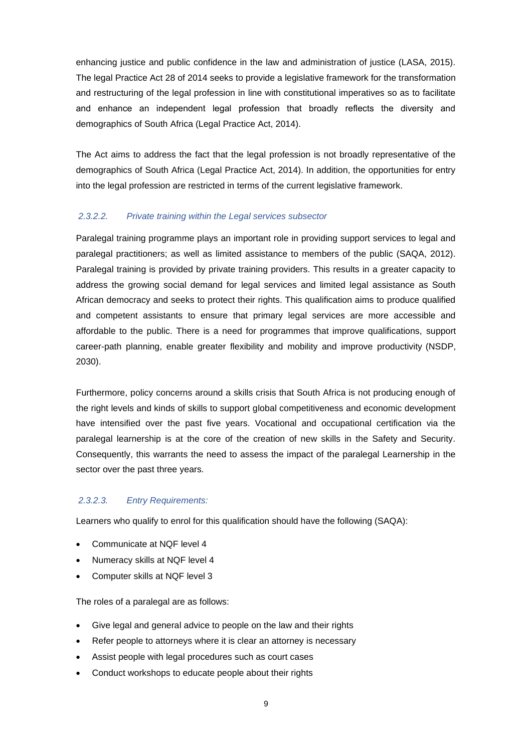enhancing justice and public confidence in the law and administration of justice (LASA, 2015). The legal Practice Act 28 of 2014 seeks to provide a legislative framework for the transformation and restructuring of the legal profession in line with constitutional imperatives so as to facilitate and enhance an independent legal profession that broadly reflects the diversity and demographics of South Africa (Legal Practice Act, 2014).

The Act aims to address the fact that the legal profession is not broadly representative of the demographics of South Africa (Legal Practice Act, 2014). In addition, the opportunities for entry into the legal profession are restricted in terms of the current legislative framework.

# *2.3.2.2. Private training within the Legal services subsector*

Paralegal training programme plays an important role in providing support services to legal and paralegal practitioners; as well as limited assistance to members of the public (SAQA, 2012). Paralegal training is provided by private training providers. This results in a greater capacity to address the growing social demand for legal services and limited legal assistance as South African democracy and seeks to protect their rights. This qualification aims to produce qualified and competent assistants to ensure that primary legal services are more accessible and affordable to the public. There is a need for programmes that improve qualifications, support career-path planning, enable greater flexibility and mobility and improve productivity (NSDP, 2030).

Furthermore, policy concerns around a skills crisis that South Africa is not producing enough of the right levels and kinds of skills to support global competitiveness and economic development have intensified over the past five years. Vocational and occupational certification via the paralegal learnership is at the core of the creation of new skills in the Safety and Security. Consequently, this warrants the need to assess the impact of the paralegal Learnership in the sector over the past three years.

# *2.3.2.3. Entry Requirements:*

Learners who qualify to enrol for this qualification should have the following (SAQA):

- Communicate at NQF level 4
- Numeracy skills at NQF level 4
- Computer skills at NQF level 3

The roles of a paralegal are as follows:

- Give legal and general advice to people on the law and their rights
- Refer people to attorneys where it is clear an attorney is necessary
- Assist people with legal procedures such as court cases
- Conduct workshops to educate people about their rights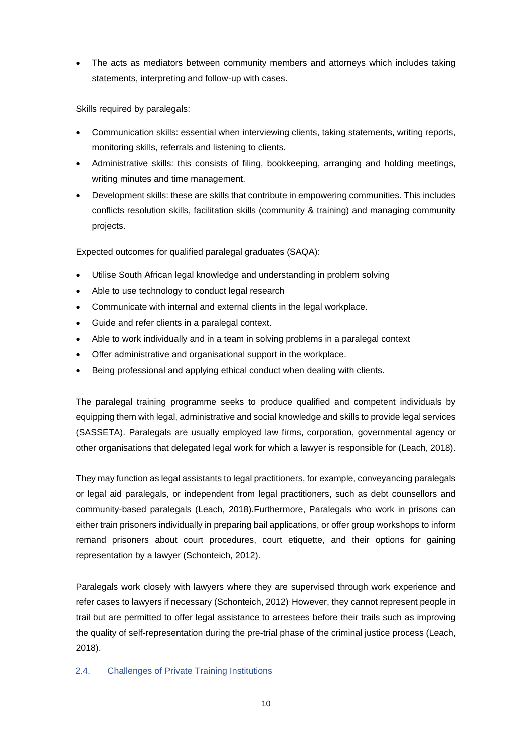The acts as mediators between community members and attorneys which includes taking statements, interpreting and follow-up with cases.

Skills required by paralegals:

- Communication skills: essential when interviewing clients, taking statements, writing reports, monitoring skills, referrals and listening to clients.
- Administrative skills: this consists of filing, bookkeeping, arranging and holding meetings, writing minutes and time management.
- Development skills: these are skills that contribute in empowering communities. This includes conflicts resolution skills, facilitation skills (community & training) and managing community projects.

Expected outcomes for qualified paralegal graduates (SAQA):

- Utilise South African legal knowledge and understanding in problem solving
- Able to use technology to conduct legal research
- Communicate with internal and external clients in the legal workplace.
- Guide and refer clients in a paralegal context.
- Able to work individually and in a team in solving problems in a paralegal context
- Offer administrative and organisational support in the workplace.
- Being professional and applying ethical conduct when dealing with clients.

The paralegal training programme seeks to produce qualified and competent individuals by equipping them with legal, administrative and social knowledge and skills to provide legal services (SASSETA). Paralegals are usually employed law firms, corporation, governmental agency or other organisations that delegated legal work for which a lawyer is responsible for (Leach, 2018).

They may function as legal assistants to legal practitioners, for example, conveyancing paralegals or legal aid paralegals, or independent from legal practitioners, such as debt counsellors and community-based paralegals (Leach, 2018).Furthermore, Paralegals who work in prisons can either train prisoners individually in preparing bail applications, or offer group workshops to inform remand prisoners about court procedures, court etiquette, and their options for gaining representation by a lawyer (Schonteich, 2012).

Paralegals work closely with lawyers where they are supervised through work experience and refer cases to lawyers if necessary (Schonteich, 2012). However, they cannot represent people in trail but are permitted to offer legal assistance to arrestees before their trails such as improving the quality of self-representation during the pre-trial phase of the criminal justice process (Leach, 2018).

# <span id="page-14-0"></span>2.4. Challenges of Private Training Institutions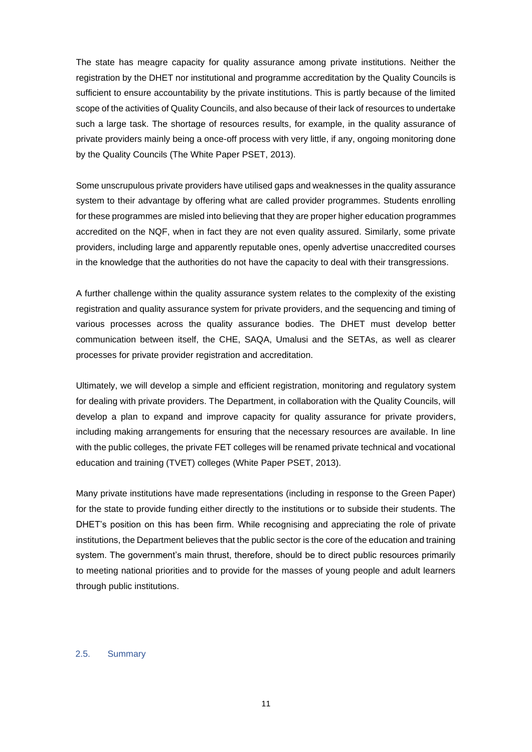The state has meagre capacity for quality assurance among private institutions. Neither the registration by the DHET nor institutional and programme accreditation by the Quality Councils is sufficient to ensure accountability by the private institutions. This is partly because of the limited scope of the activities of Quality Councils, and also because of their lack of resources to undertake such a large task. The shortage of resources results, for example, in the quality assurance of private providers mainly being a once-off process with very little, if any, ongoing monitoring done by the Quality Councils (The White Paper PSET, 2013).

Some unscrupulous private providers have utilised gaps and weaknesses in the quality assurance system to their advantage by offering what are called provider programmes. Students enrolling for these programmes are misled into believing that they are proper higher education programmes accredited on the NQF, when in fact they are not even quality assured. Similarly, some private providers, including large and apparently reputable ones, openly advertise unaccredited courses in the knowledge that the authorities do not have the capacity to deal with their transgressions.

A further challenge within the quality assurance system relates to the complexity of the existing registration and quality assurance system for private providers, and the sequencing and timing of various processes across the quality assurance bodies. The DHET must develop better communication between itself, the CHE, SAQA, Umalusi and the SETAs, as well as clearer processes for private provider registration and accreditation.

Ultimately, we will develop a simple and efficient registration, monitoring and regulatory system for dealing with private providers. The Department, in collaboration with the Quality Councils, will develop a plan to expand and improve capacity for quality assurance for private providers, including making arrangements for ensuring that the necessary resources are available. In line with the public colleges, the private FET colleges will be renamed private technical and vocational education and training (TVET) colleges (White Paper PSET, 2013).

Many private institutions have made representations (including in response to the Green Paper) for the state to provide funding either directly to the institutions or to subside their students. The DHET's position on this has been firm. While recognising and appreciating the role of private institutions, the Department believes that the public sector is the core of the education and training system. The government's main thrust, therefore, should be to direct public resources primarily to meeting national priorities and to provide for the masses of young people and adult learners through public institutions.

### <span id="page-15-0"></span>2.5. Summary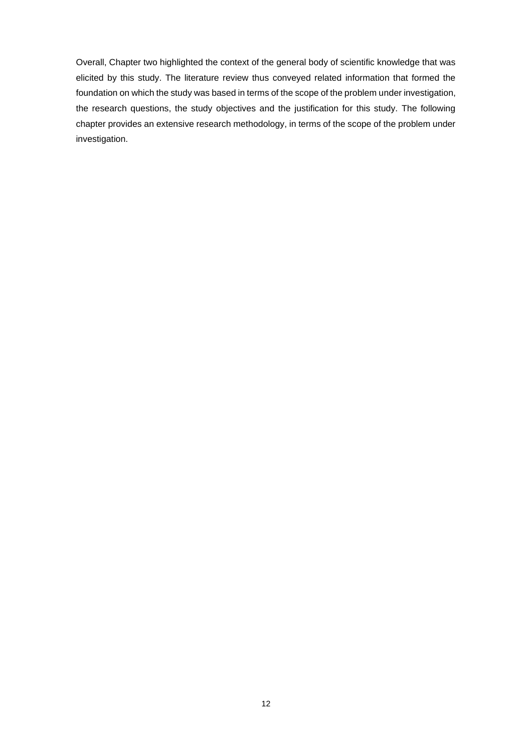Overall, Chapter two highlighted the context of the general body of scientific knowledge that was elicited by this study. The literature review thus conveyed related information that formed the foundation on which the study was based in terms of the scope of the problem under investigation, the research questions, the study objectives and the justification for this study. The following chapter provides an extensive research methodology, in terms of the scope of the problem under investigation.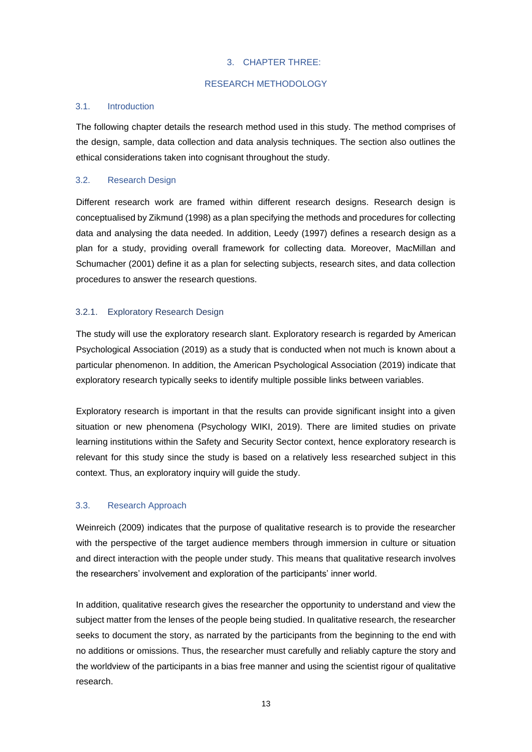### 3. CHAPTER THREE:

### RESEARCH METHODOLOGY

### <span id="page-17-2"></span><span id="page-17-1"></span><span id="page-17-0"></span>3.1. Introduction

The following chapter details the research method used in this study. The method comprises of the design, sample, data collection and data analysis techniques. The section also outlines the ethical considerations taken into cognisant throughout the study.

# <span id="page-17-3"></span>3.2. Research Design

Different research work are framed within different research designs. Research design is conceptualised by Zikmund (1998) as a plan specifying the methods and procedures for collecting data and analysing the data needed. In addition, Leedy (1997) defines a research design as a plan for a study, providing overall framework for collecting data. Moreover, MacMillan and Schumacher (2001) define it as a plan for selecting subjects, research sites, and data collection procedures to answer the research questions.

# <span id="page-17-4"></span>3.2.1. Exploratory Research Design

The study will use the exploratory research slant. Exploratory research is regarded by American Psychological Association (2019) as a study that is conducted when not much is known about a particular phenomenon. In addition, the American Psychological Association (2019) indicate that exploratory research typically seeks to identify multiple possible links between variables.

Exploratory research is important in that the results can provide significant insight into a given situation or new phenomena (Psychology WIKI, 2019). There are limited studies on private learning institutions within the Safety and Security Sector context, hence exploratory research is relevant for this study since the study is based on a relatively less researched subject in this context. Thus, an exploratory inquiry will guide the study.

# <span id="page-17-5"></span>3.3. Research Approach

Weinreich (2009) indicates that the purpose of qualitative research is to provide the researcher with the perspective of the target audience members through immersion in culture or situation and direct interaction with the people under study. This means that qualitative research involves the researchers' involvement and exploration of the participants' inner world.

In addition, qualitative research gives the researcher the opportunity to understand and view the subject matter from the lenses of the people being studied. In qualitative research, the researcher seeks to document the story, as narrated by the participants from the beginning to the end with no additions or omissions. Thus, the researcher must carefully and reliably capture the story and the worldview of the participants in a bias free manner and using the scientist rigour of qualitative research.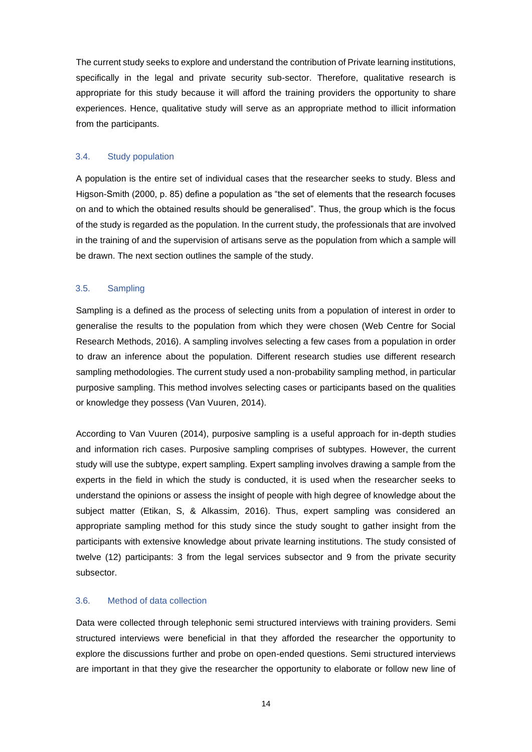The current study seeks to explore and understand the contribution of Private learning institutions, specifically in the legal and private security sub-sector. Therefore, qualitative research is appropriate for this study because it will afford the training providers the opportunity to share experiences. Hence, qualitative study will serve as an appropriate method to illicit information from the participants.

### <span id="page-18-0"></span>3.4. Study population

A population is the entire set of individual cases that the researcher seeks to study. Bless and Higson-Smith (2000, p. 85) define a population as "the set of elements that the research focuses on and to which the obtained results should be generalised". Thus, the group which is the focus of the study is regarded as the population. In the current study, the professionals that are involved in the training of and the supervision of artisans serve as the population from which a sample will be drawn. The next section outlines the sample of the study.

### <span id="page-18-1"></span>3.5. Sampling

Sampling is a defined as the process of selecting units from a population of interest in order to generalise the results to the population from which they were chosen (Web Centre for Social Research Methods, 2016). A sampling involves selecting a few cases from a population in order to draw an inference about the population. Different research studies use different research sampling methodologies. The current study used a non-probability sampling method, in particular purposive sampling. This method involves selecting cases or participants based on the qualities or knowledge they possess (Van Vuuren, 2014).

According to Van Vuuren (2014), purposive sampling is a useful approach for in-depth studies and information rich cases. Purposive sampling comprises of subtypes. However, the current study will use the subtype, expert sampling. Expert sampling involves drawing a sample from the experts in the field in which the study is conducted, it is used when the researcher seeks to understand the opinions or assess the insight of people with high degree of knowledge about the subject matter (Etikan, S, & Alkassim, 2016). Thus, expert sampling was considered an appropriate sampling method for this study since the study sought to gather insight from the participants with extensive knowledge about private learning institutions. The study consisted of twelve (12) participants: 3 from the legal services subsector and 9 from the private security subsector.

# <span id="page-18-2"></span>3.6. Method of data collection

Data were collected through telephonic semi structured interviews with training providers. Semi structured interviews were beneficial in that they afforded the researcher the opportunity to explore the discussions further and probe on open-ended questions. Semi structured interviews are important in that they give the researcher the opportunity to elaborate or follow new line of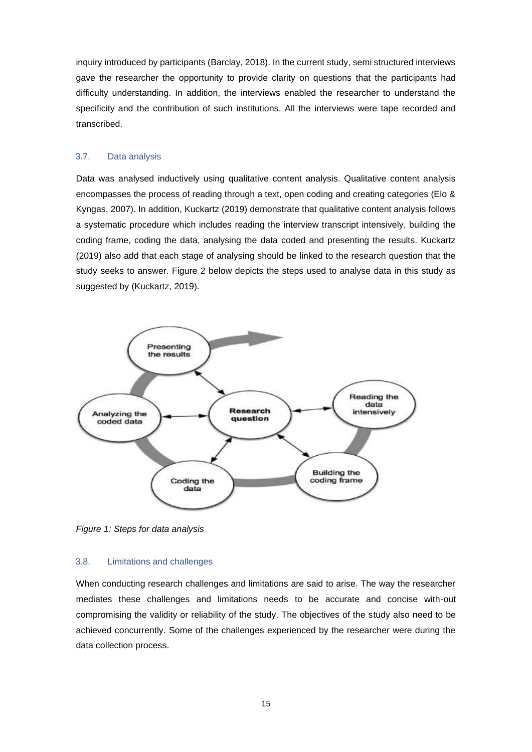inquiry introduced by participants (Barclay, 2018). In the current study, semi structured interviews gave the researcher the opportunity to provide clarity on questions that the participants had difficulty understanding. In addition, the interviews enabled the researcher to understand the specificity and the contribution of such institutions. All the interviews were tape recorded and transcribed.

### <span id="page-19-0"></span>3.7. Data analysis

Data was analysed inductively using qualitative content analysis. Qualitative content analysis encompasses the process of reading through a text, open coding and creating categories (Elo & Kyngas, 2007). In addition, Kuckartz (2019) demonstrate that qualitative content analysis follows a systematic procedure which includes reading the interview transcript intensively, building the coding frame, coding the data, analysing the data coded and presenting the results. Kuckartz (2019) also add that each stage of analysing should be linked to the research question that the study seeks to answer. Figure 2 below depicts the steps used to analyse data in this study as suggested by (Kuckartz, 2019).



*Figure 1: Steps for data analysis*

### <span id="page-19-1"></span>3.8. Limitations and challenges

When conducting research challenges and limitations are said to arise. The way the researcher mediates these challenges and limitations needs to be accurate and concise with-out compromising the validity or reliability of the study. The objectives of the study also need to be achieved concurrently. Some of the challenges experienced by the researcher were during the data collection process.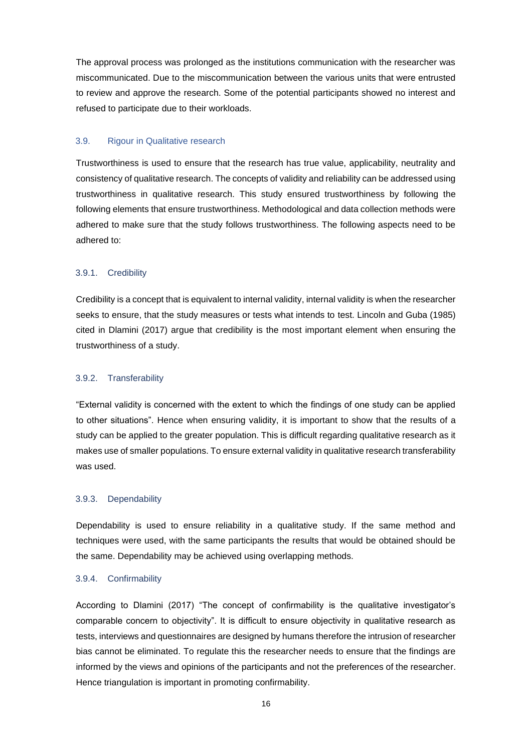The approval process was prolonged as the institutions communication with the researcher was miscommunicated. Due to the miscommunication between the various units that were entrusted to review and approve the research. Some of the potential participants showed no interest and refused to participate due to their workloads.

#### <span id="page-20-0"></span>3.9. Rigour in Qualitative research

Trustworthiness is used to ensure that the research has true value, applicability, neutrality and consistency of qualitative research. The concepts of validity and reliability can be addressed using trustworthiness in qualitative research. This study ensured trustworthiness by following the following elements that ensure trustworthiness. Methodological and data collection methods were adhered to make sure that the study follows trustworthiness. The following aspects need to be adhered to:

#### <span id="page-20-1"></span>3.9.1. Credibility

Credibility is a concept that is equivalent to internal validity, internal validity is when the researcher seeks to ensure, that the study measures or tests what intends to test. Lincoln and Guba (1985) cited in Dlamini (2017) argue that credibility is the most important element when ensuring the trustworthiness of a study.

### <span id="page-20-2"></span>3.9.2. Transferability

"External validity is concerned with the extent to which the findings of one study can be applied to other situations". Hence when ensuring validity, it is important to show that the results of a study can be applied to the greater population. This is difficult regarding qualitative research as it makes use of smaller populations. To ensure external validity in qualitative research transferability was used.

### <span id="page-20-3"></span>3.9.3. Dependability

Dependability is used to ensure reliability in a qualitative study. If the same method and techniques were used, with the same participants the results that would be obtained should be the same. Dependability may be achieved using overlapping methods.

#### <span id="page-20-4"></span>3.9.4. Confirmability

According to Dlamini (2017) "The concept of confirmability is the qualitative investigator's comparable concern to objectivity". It is difficult to ensure objectivity in qualitative research as tests, interviews and questionnaires are designed by humans therefore the intrusion of researcher bias cannot be eliminated. To regulate this the researcher needs to ensure that the findings are informed by the views and opinions of the participants and not the preferences of the researcher. Hence triangulation is important in promoting confirmability.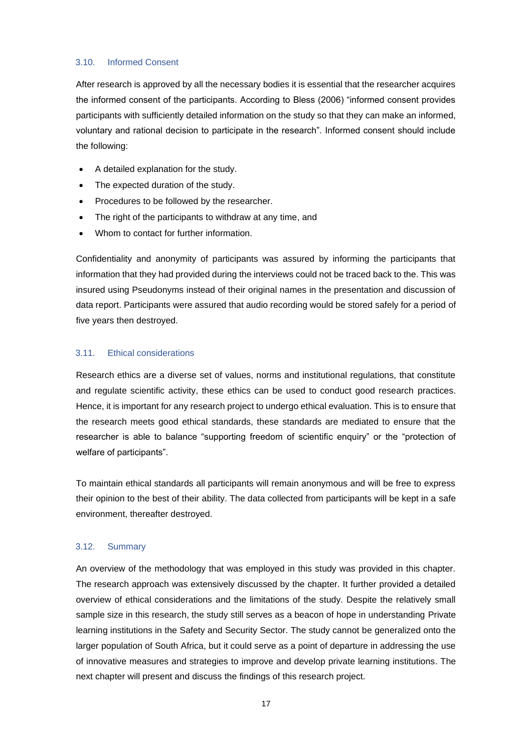### <span id="page-21-0"></span>3.10. Informed Consent

After research is approved by all the necessary bodies it is essential that the researcher acquires the informed consent of the participants. According to Bless (2006) "informed consent provides participants with sufficiently detailed information on the study so that they can make an informed, voluntary and rational decision to participate in the research". Informed consent should include the following:

- A detailed explanation for the study.
- The expected duration of the study.
- Procedures to be followed by the researcher.
- The right of the participants to withdraw at any time, and
- Whom to contact for further information.

Confidentiality and anonymity of participants was assured by informing the participants that information that they had provided during the interviews could not be traced back to the. This was insured using Pseudonyms instead of their original names in the presentation and discussion of data report. Participants were assured that audio recording would be stored safely for a period of five years then destroyed.

### <span id="page-21-1"></span>3.11. Ethical considerations

Research ethics are a diverse set of values, norms and institutional regulations, that constitute and regulate scientific activity, these ethics can be used to conduct good research practices. Hence, it is important for any research project to undergo ethical evaluation. This is to ensure that the research meets good ethical standards, these standards are mediated to ensure that the researcher is able to balance "supporting freedom of scientific enquiry" or the "protection of welfare of participants".

To maintain ethical standards all participants will remain anonymous and will be free to express their opinion to the best of their ability. The data collected from participants will be kept in a safe environment, thereafter destroyed.

### <span id="page-21-2"></span>3.12. Summary

An overview of the methodology that was employed in this study was provided in this chapter. The research approach was extensively discussed by the chapter. It further provided a detailed overview of ethical considerations and the limitations of the study. Despite the relatively small sample size in this research, the study still serves as a beacon of hope in understanding Private learning institutions in the Safety and Security Sector. The study cannot be generalized onto the larger population of South Africa, but it could serve as a point of departure in addressing the use of innovative measures and strategies to improve and develop private learning institutions. The next chapter will present and discuss the findings of this research project.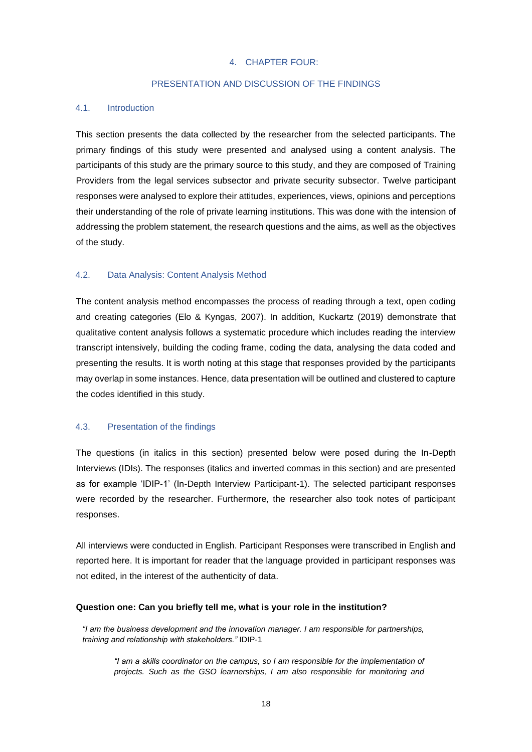### 4. CHAPTER FOUR:

### PRESENTATION AND DISCUSSION OF THE FINDINGS

#### <span id="page-22-2"></span><span id="page-22-1"></span><span id="page-22-0"></span>4.1. Introduction

This section presents the data collected by the researcher from the selected participants. The primary findings of this study were presented and analysed using a content analysis. The participants of this study are the primary source to this study, and they are composed of Training Providers from the legal services subsector and private security subsector. Twelve participant responses were analysed to explore their attitudes, experiences, views, opinions and perceptions their understanding of the role of private learning institutions. This was done with the intension of addressing the problem statement, the research questions and the aims, as well as the objectives of the study.

### <span id="page-22-3"></span>4.2. Data Analysis: Content Analysis Method

The content analysis method encompasses the process of reading through a text, open coding and creating categories (Elo & Kyngas, 2007). In addition, Kuckartz (2019) demonstrate that qualitative content analysis follows a systematic procedure which includes reading the interview transcript intensively, building the coding frame, coding the data, analysing the data coded and presenting the results. It is worth noting at this stage that responses provided by the participants may overlap in some instances. Hence, data presentation will be outlined and clustered to capture the codes identified in this study.

## <span id="page-22-4"></span>4.3. Presentation of the findings

The questions (in italics in this section) presented below were posed during the In-Depth Interviews (IDIs). The responses (italics and inverted commas in this section) and are presented as for example 'IDIP-1' (In-Depth Interview Participant-1). The selected participant responses were recorded by the researcher. Furthermore, the researcher also took notes of participant responses.

All interviews were conducted in English. Participant Responses were transcribed in English and reported here. It is important for reader that the language provided in participant responses was not edited, in the interest of the authenticity of data.

#### **Question one: Can you briefly tell me, what is your role in the institution?**

*"I am the business development and the innovation manager. I am responsible for partnerships, training and relationship with stakeholders."* IDIP-1

*"I am a skills coordinator on the campus, so I am responsible for the implementation of projects. Such as the GSO learnerships, I am also responsible for monitoring and*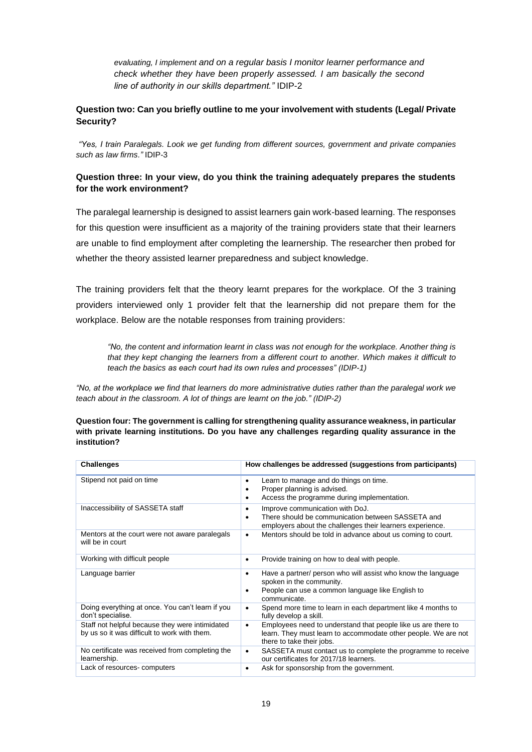*evaluating, I implement and on a regular basis I monitor learner performance and check whether they have been properly assessed. I am basically the second line of authority in our skills department."* IDIP-2

# **Question two: Can you briefly outline to me your involvement with students (Legal/ Private Security?**

*"Yes, I train Paralegals. Look we get funding from different sources, government and private companies such as law firms."* IDIP-3

# **Question three: In your view, do you think the training adequately prepares the students for the work environment?**

The paralegal learnership is designed to assist learners gain work-based learning. The responses for this question were insufficient as a majority of the training providers state that their learners are unable to find employment after completing the learnership. The researcher then probed for whether the theory assisted learner preparedness and subject knowledge.

The training providers felt that the theory learnt prepares for the workplace. Of the 3 training providers interviewed only 1 provider felt that the learnership did not prepare them for the workplace. Below are the notable responses from training providers:

*"No, the content and information learnt in class was not enough for the workplace. Another thing is that they kept changing the learners from a different court to another. Which makes it difficult to teach the basics as each court had its own rules and processes" (IDIP-1)* 

*"No, at the workplace we find that learners do more administrative duties rather than the paralegal work we teach about in the classroom. A lot of things are learnt on the job." (IDIP-2)*

**Question four: The government is calling for strengthening quality assurance weakness, in particular with private learning institutions. Do you have any challenges regarding quality assurance in the institution?**

| <b>Challenges</b>                                                                               | How challenges be addressed (suggestions from participants)                                                                                                               |
|-------------------------------------------------------------------------------------------------|---------------------------------------------------------------------------------------------------------------------------------------------------------------------------|
| Stipend not paid on time                                                                        | Learn to manage and do things on time.<br>٠<br>Proper planning is advised.<br>Access the programme during implementation.<br>٠                                            |
| Inaccessibility of SASSETA staff                                                                | Improve communication with DoJ.<br>$\bullet$<br>There should be communication between SASSETA and<br>٠<br>employers about the challenges their learners experience.       |
| Mentors at the court were not aware paralegals<br>will be in court                              | Mentors should be told in advance about us coming to court.<br>$\bullet$                                                                                                  |
| Working with difficult people                                                                   | Provide training on how to deal with people.<br>٠                                                                                                                         |
| Language barrier                                                                                | Have a partner/ person who will assist who know the language<br>٠<br>spoken in the community.<br>People can use a common language like English to<br>٠<br>communicate.    |
| Doing everything at once. You can't learn if you<br>don't specialise.                           | Spend more time to learn in each department like 4 months to<br>$\bullet$<br>fully develop a skill.                                                                       |
| Staff not helpful because they were intimidated<br>by us so it was difficult to work with them. | Employees need to understand that people like us are there to<br>$\bullet$<br>learn. They must learn to accommodate other people. We are not<br>there to take their jobs. |
| No certificate was received from completing the<br>learnership.                                 | SASSETA must contact us to complete the programme to receive<br>$\bullet$<br>our certificates for 2017/18 learners.                                                       |
| Lack of resources-computers                                                                     | Ask for sponsorship from the government.<br>٠                                                                                                                             |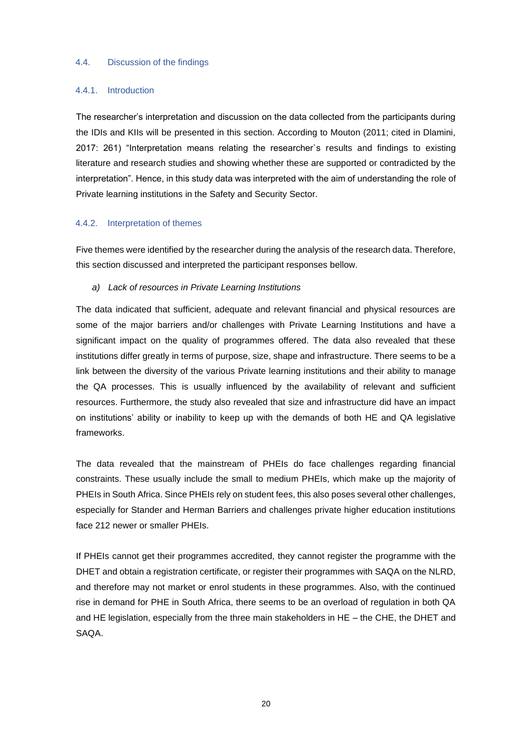### <span id="page-24-0"></span>4.4. Discussion of the findings

#### <span id="page-24-1"></span>4.4.1. Introduction

The researcher's interpretation and discussion on the data collected from the participants during the IDIs and KIIs will be presented in this section. According to Mouton (2011; cited in Dlamini, 2017: 261) "Interpretation means relating the researcher`s results and findings to existing literature and research studies and showing whether these are supported or contradicted by the interpretation". Hence, in this study data was interpreted with the aim of understanding the role of Private learning institutions in the Safety and Security Sector.

#### <span id="page-24-2"></span>4.4.2. Interpretation of themes

Five themes were identified by the researcher during the analysis of the research data. Therefore, this section discussed and interpreted the participant responses bellow.

#### *a) Lack of resources in Private Learning Institutions*

The data indicated that sufficient, adequate and relevant financial and physical resources are some of the major barriers and/or challenges with Private Learning Institutions and have a significant impact on the quality of programmes offered. The data also revealed that these institutions differ greatly in terms of purpose, size, shape and infrastructure. There seems to be a link between the diversity of the various Private learning institutions and their ability to manage the QA processes. This is usually influenced by the availability of relevant and sufficient resources. Furthermore, the study also revealed that size and infrastructure did have an impact on institutions' ability or inability to keep up with the demands of both HE and QA legislative frameworks.

The data revealed that the mainstream of PHEIs do face challenges regarding financial constraints. These usually include the small to medium PHEIs, which make up the majority of PHEIs in South Africa. Since PHEIs rely on student fees, this also poses several other challenges, especially for Stander and Herman Barriers and challenges private higher education institutions face 212 newer or smaller PHEIs.

If PHEIs cannot get their programmes accredited, they cannot register the programme with the DHET and obtain a registration certificate, or register their programmes with SAQA on the NLRD, and therefore may not market or enrol students in these programmes. Also, with the continued rise in demand for PHE in South Africa, there seems to be an overload of regulation in both QA and HE legislation, especially from the three main stakeholders in HE – the CHE, the DHET and SAQA.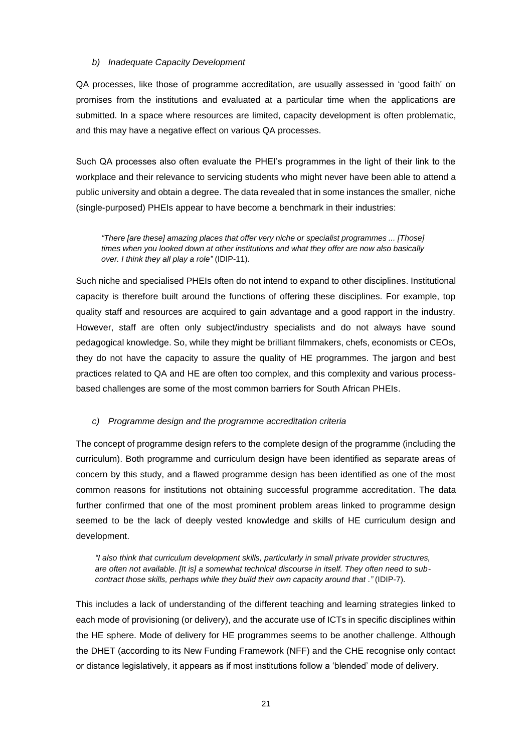### *b) Inadequate Capacity Development*

QA processes, like those of programme accreditation, are usually assessed in 'good faith' on promises from the institutions and evaluated at a particular time when the applications are submitted. In a space where resources are limited, capacity development is often problematic, and this may have a negative effect on various QA processes.

Such QA processes also often evaluate the PHEI's programmes in the light of their link to the workplace and their relevance to servicing students who might never have been able to attend a public university and obtain a degree. The data revealed that in some instances the smaller, niche (single-purposed) PHEIs appear to have become a benchmark in their industries:

*"There [are these] amazing places that offer very niche or specialist programmes ... [Those] times when you looked down at other institutions and what they offer are now also basically over. I think they all play a role"* (IDIP-11).

Such niche and specialised PHEIs often do not intend to expand to other disciplines. Institutional capacity is therefore built around the functions of offering these disciplines. For example, top quality staff and resources are acquired to gain advantage and a good rapport in the industry. However, staff are often only subject/industry specialists and do not always have sound pedagogical knowledge. So, while they might be brilliant filmmakers, chefs, economists or CEOs, they do not have the capacity to assure the quality of HE programmes. The jargon and best practices related to QA and HE are often too complex, and this complexity and various processbased challenges are some of the most common barriers for South African PHEIs.

## *c) Programme design and the programme accreditation criteria*

The concept of programme design refers to the complete design of the programme (including the curriculum). Both programme and curriculum design have been identified as separate areas of concern by this study, and a flawed programme design has been identified as one of the most common reasons for institutions not obtaining successful programme accreditation. The data further confirmed that one of the most prominent problem areas linked to programme design seemed to be the lack of deeply vested knowledge and skills of HE curriculum design and development.

*"I also think that curriculum development skills, particularly in small private provider structures, are often not available. [It is] a somewhat technical discourse in itself. They often need to subcontract those skills, perhaps while they build their own capacity around that ."* (IDIP-7).

This includes a lack of understanding of the different teaching and learning strategies linked to each mode of provisioning (or delivery), and the accurate use of ICTs in specific disciplines within the HE sphere. Mode of delivery for HE programmes seems to be another challenge. Although the DHET (according to its New Funding Framework (NFF) and the CHE recognise only contact or distance legislatively, it appears as if most institutions follow a 'blended' mode of delivery.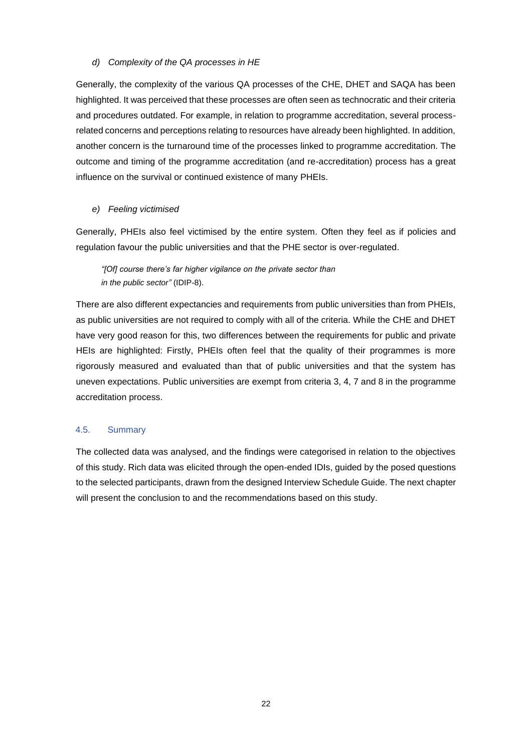### *d) Complexity of the QA processes in HE*

Generally, the complexity of the various QA processes of the CHE, DHET and SAQA has been highlighted. It was perceived that these processes are often seen as technocratic and their criteria and procedures outdated. For example, in relation to programme accreditation, several processrelated concerns and perceptions relating to resources have already been highlighted. In addition, another concern is the turnaround time of the processes linked to programme accreditation. The outcome and timing of the programme accreditation (and re-accreditation) process has a great influence on the survival or continued existence of many PHEIs.

## *e) Feeling victimised*

Generally, PHEIs also feel victimised by the entire system. Often they feel as if policies and regulation favour the public universities and that the PHE sector is over-regulated.

*"[Of] course there's far higher vigilance on the private sector than in the public sector"* (IDIP-8).

There are also different expectancies and requirements from public universities than from PHEIs, as public universities are not required to comply with all of the criteria. While the CHE and DHET have very good reason for this, two differences between the requirements for public and private HEIs are highlighted: Firstly, PHEIs often feel that the quality of their programmes is more rigorously measured and evaluated than that of public universities and that the system has uneven expectations. Public universities are exempt from criteria 3, 4, 7 and 8 in the programme accreditation process.

### <span id="page-26-0"></span>4.5. Summary

The collected data was analysed, and the findings were categorised in relation to the objectives of this study. Rich data was elicited through the open-ended IDIs, guided by the posed questions to the selected participants, drawn from the designed Interview Schedule Guide. The next chapter will present the conclusion to and the recommendations based on this study.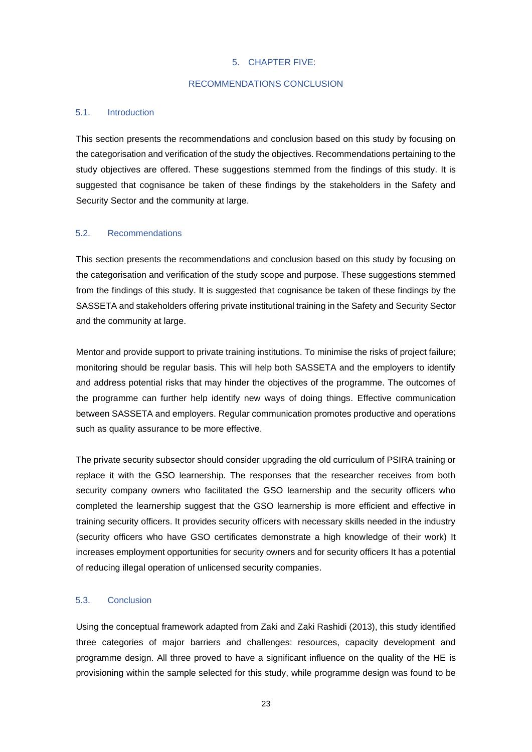### 5. CHAPTER FIVE:

### RECOMMENDATIONS CONCLUSION

# <span id="page-27-2"></span><span id="page-27-1"></span><span id="page-27-0"></span>5.1. Introduction

This section presents the recommendations and conclusion based on this study by focusing on the categorisation and verification of the study the objectives. Recommendations pertaining to the study objectives are offered. These suggestions stemmed from the findings of this study. It is suggested that cognisance be taken of these findings by the stakeholders in the Safety and Security Sector and the community at large.

#### <span id="page-27-3"></span>5.2. Recommendations

This section presents the recommendations and conclusion based on this study by focusing on the categorisation and verification of the study scope and purpose. These suggestions stemmed from the findings of this study. It is suggested that cognisance be taken of these findings by the SASSETA and stakeholders offering private institutional training in the Safety and Security Sector and the community at large.

Mentor and provide support to private training institutions. To minimise the risks of project failure; monitoring should be regular basis. This will help both SASSETA and the employers to identify and address potential risks that may hinder the objectives of the programme. The outcomes of the programme can further help identify new ways of doing things. Effective communication between SASSETA and employers. Regular communication promotes productive and operations such as quality assurance to be more effective.

The private security subsector should consider upgrading the old curriculum of PSIRA training or replace it with the GSO learnership. The responses that the researcher receives from both security company owners who facilitated the GSO learnership and the security officers who completed the learnership suggest that the GSO learnership is more efficient and effective in training security officers. It provides security officers with necessary skills needed in the industry (security officers who have GSO certificates demonstrate a high knowledge of their work) It increases employment opportunities for security owners and for security officers It has a potential of reducing illegal operation of unlicensed security companies.

# <span id="page-27-4"></span>5.3. Conclusion

Using the conceptual framework adapted from Zaki and Zaki Rashidi (2013), this study identified three categories of major barriers and challenges: resources, capacity development and programme design. All three proved to have a significant influence on the quality of the HE is provisioning within the sample selected for this study, while programme design was found to be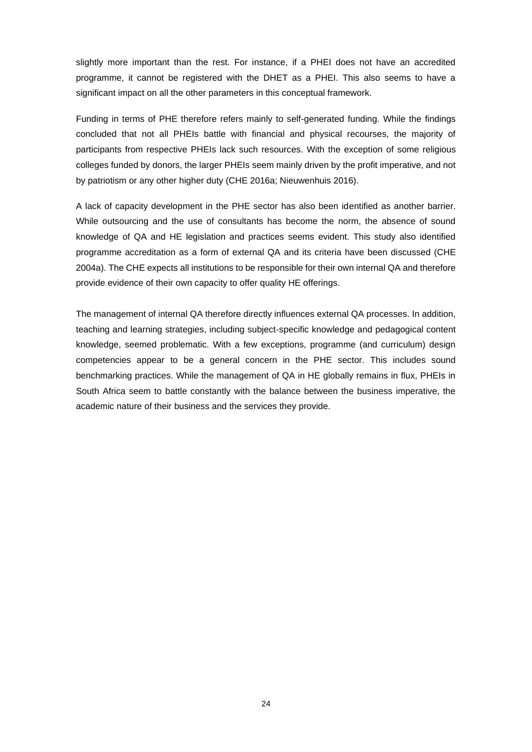slightly more important than the rest. For instance, if a PHEI does not have an accredited programme, it cannot be registered with the DHET as a PHEI. This also seems to have a significant impact on all the other parameters in this conceptual framework.

Funding in terms of PHE therefore refers mainly to self-generated funding. While the findings concluded that not all PHEIs battle with financial and physical recourses, the majority of participants from respective PHEIs lack such resources. With the exception of some religious colleges funded by donors, the larger PHEIs seem mainly driven by the profit imperative, and not by patriotism or any other higher duty (CHE 2016a; Nieuwenhuis 2016).

A lack of capacity development in the PHE sector has also been identified as another barrier. While outsourcing and the use of consultants has become the norm, the absence of sound knowledge of QA and HE legislation and practices seems evident. This study also identified programme accreditation as a form of external QA and its criteria have been discussed (CHE 2004a). The CHE expects all institutions to be responsible for their own internal QA and therefore provide evidence of their own capacity to offer quality HE offerings.

The management of internal QA therefore directly influences external QA processes. In addition, teaching and learning strategies, including subject-specific knowledge and pedagogical content knowledge, seemed problematic. With a few exceptions, programme (and curriculum) design competencies appear to be a general concern in the PHE sector. This includes sound benchmarking practices. While the management of QA in HE globally remains in flux, PHEIs in South Africa seem to battle constantly with the balance between the business imperative, the academic nature of their business and the services they provide.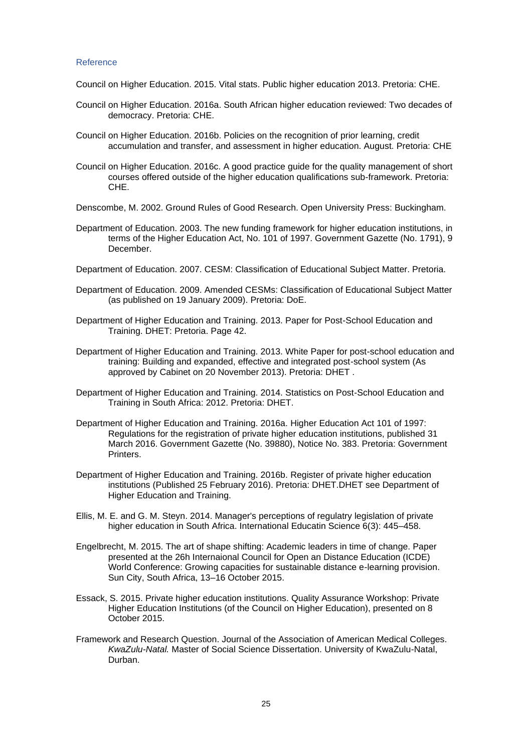#### <span id="page-29-0"></span>Reference

Council on Higher Education. 2015. Vital stats. Public higher education 2013. Pretoria: CHE.

- Council on Higher Education. 2016a. South African higher education reviewed: Two decades of democracy. Pretoria: CHE.
- Council on Higher Education. 2016b. Policies on the recognition of prior learning, credit accumulation and transfer, and assessment in higher education. August. Pretoria: CHE
- Council on Higher Education. 2016c. A good practice guide for the quality management of short courses offered outside of the higher education qualifications sub-framework. Pretoria: CHE.
- Denscombe, M. 2002. Ground Rules of Good Research. Open University Press: Buckingham.
- Department of Education. 2003. The new funding framework for higher education institutions, in terms of the Higher Education Act, No. 101 of 1997. Government Gazette (No. 1791), 9 December.
- Department of Education. 2007. CESM: Classification of Educational Subject Matter. Pretoria.
- Department of Education. 2009. Amended CESMs: Classification of Educational Subject Matter (as published on 19 January 2009). Pretoria: DoE.
- Department of Higher Education and Training. 2013. Paper for Post-School Education and Training. DHET: Pretoria. Page 42.
- Department of Higher Education and Training. 2013. White Paper for post-school education and training: Building and expanded, effective and integrated post-school system (As approved by Cabinet on 20 November 2013). Pretoria: DHET .
- Department of Higher Education and Training. 2014. Statistics on Post-School Education and Training in South Africa: 2012. Pretoria: DHET.
- Department of Higher Education and Training. 2016a. Higher Education Act 101 of 1997: Regulations for the registration of private higher education institutions, published 31 March 2016. Government Gazette (No. 39880), Notice No. 383. Pretoria: Government Printers.
- Department of Higher Education and Training. 2016b. Register of private higher education institutions (Published 25 February 2016). Pretoria: DHET.DHET see Department of Higher Education and Training.
- Ellis, M. E. and G. M. Steyn. 2014. Manager's perceptions of regulatry legislation of private higher education in South Africa. International Educatin Science 6(3): 445–458.
- Engelbrecht, M. 2015. The art of shape shifting: Academic leaders in time of change. Paper presented at the 26h Internaional Council for Open an Distance Education (ICDE) World Conference: Growing capacities for sustainable distance e-learning provision. Sun City, South Africa, 13–16 October 2015.
- Essack, S. 2015. Private higher education institutions. Quality Assurance Workshop: Private Higher Education Institutions (of the Council on Higher Education), presented on 8 October 2015.
- Framework and Research Question. Journal of the Association of American Medical Colleges. *KwaZulu-Natal.* Master of Social Science Dissertation. University of KwaZulu-Natal, Durban.